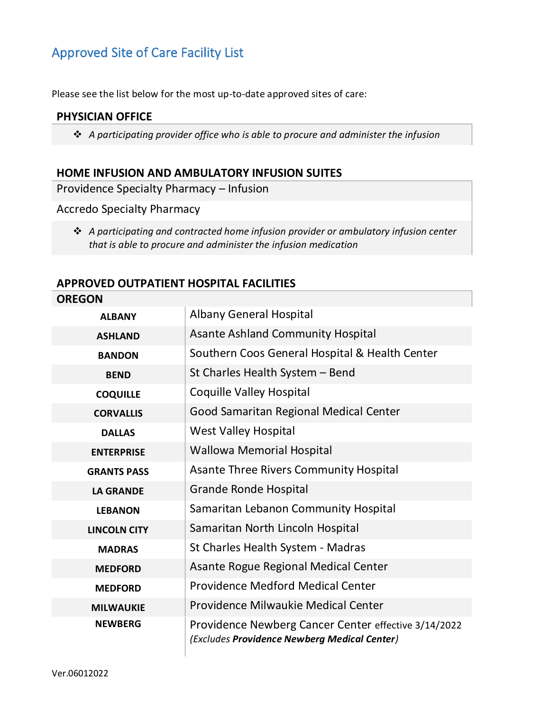## Approved Site of Care Facility List

Please see the list below for the most up-to-date approved sites of care:

#### **PHYSICIAN OFFICE**

❖ *A participating provider office who is able to procure and administer the infusion*

#### **HOME INFUSION AND AMBULATORY INFUSION SUITES**

Providence Specialty Pharmacy – Infusion

Accredo Specialty Pharmacy

❖ *A participating and contracted home infusion provider or ambulatory infusion center that is able to procure and administer the infusion medication*

#### **APPROVED OUTPATIENT HOSPITAL FACILITIES**

| <b>OREGON</b>       |                                                                                                      |
|---------------------|------------------------------------------------------------------------------------------------------|
| <b>ALBANY</b>       | <b>Albany General Hospital</b>                                                                       |
| <b>ASHLAND</b>      | <b>Asante Ashland Community Hospital</b>                                                             |
| <b>BANDON</b>       | Southern Coos General Hospital & Health Center                                                       |
| <b>BEND</b>         | St Charles Health System - Bend                                                                      |
| <b>COQUILLE</b>     | <b>Coquille Valley Hospital</b>                                                                      |
| <b>CORVALLIS</b>    | Good Samaritan Regional Medical Center                                                               |
| <b>DALLAS</b>       | <b>West Valley Hospital</b>                                                                          |
| <b>ENTERPRISE</b>   | <b>Wallowa Memorial Hospital</b>                                                                     |
| <b>GRANTS PASS</b>  | <b>Asante Three Rivers Community Hospital</b>                                                        |
| <b>LA GRANDE</b>    | <b>Grande Ronde Hospital</b>                                                                         |
| <b>LEBANON</b>      | Samaritan Lebanon Community Hospital                                                                 |
| <b>LINCOLN CITY</b> | Samaritan North Lincoln Hospital                                                                     |
| <b>MADRAS</b>       | St Charles Health System - Madras                                                                    |
| <b>MEDFORD</b>      | Asante Rogue Regional Medical Center                                                                 |
| <b>MEDFORD</b>      | <b>Providence Medford Medical Center</b>                                                             |
| <b>MILWAUKIE</b>    | Providence Milwaukie Medical Center                                                                  |
| <b>NEWBERG</b>      | Providence Newberg Cancer Center effective 3/14/2022<br>(Excludes Providence Newberg Medical Center) |